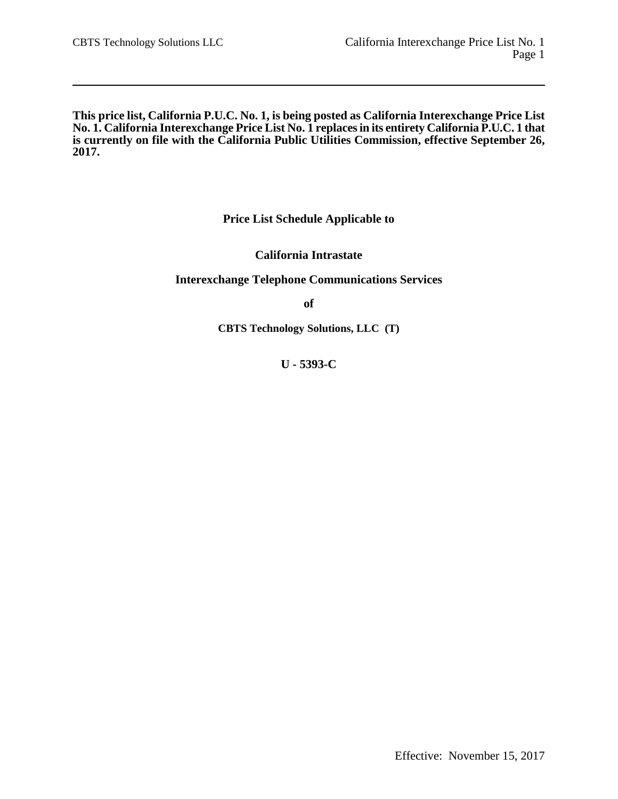**This price list, California P.U.C. No. 1, is being posted as California Interexchange Price List No. 1. California Interexchange Price List No. 1 replaces in its entirety California P.U.C. 1 that is currently on file with the California Public Utilities Commission, effective September 26, 2017.**

**Price List Schedule Applicable to**

**California Intrastate**

**Interexchange Telephone Communications Services**

**of**

**CBTS Technology Solutions, LLC (T)**

**U - 5393-C**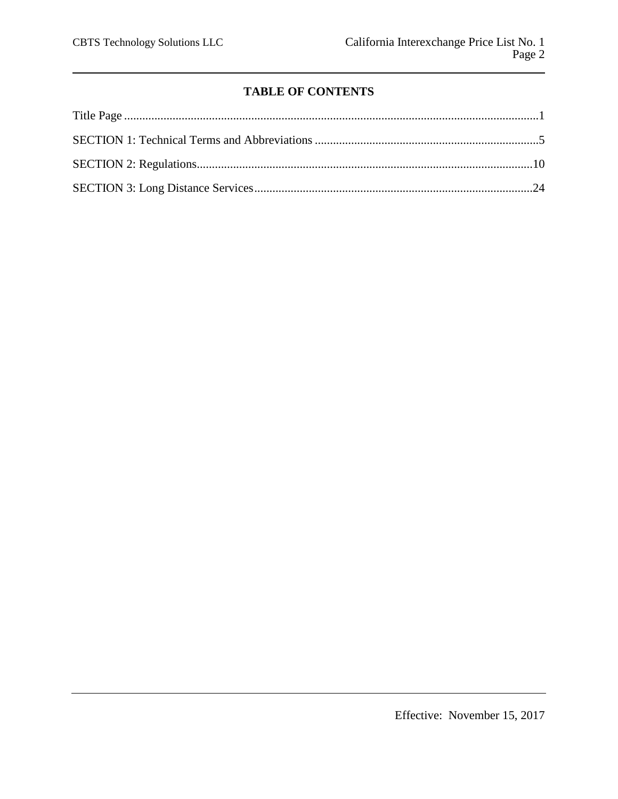# **TABLE OF CONTENTS**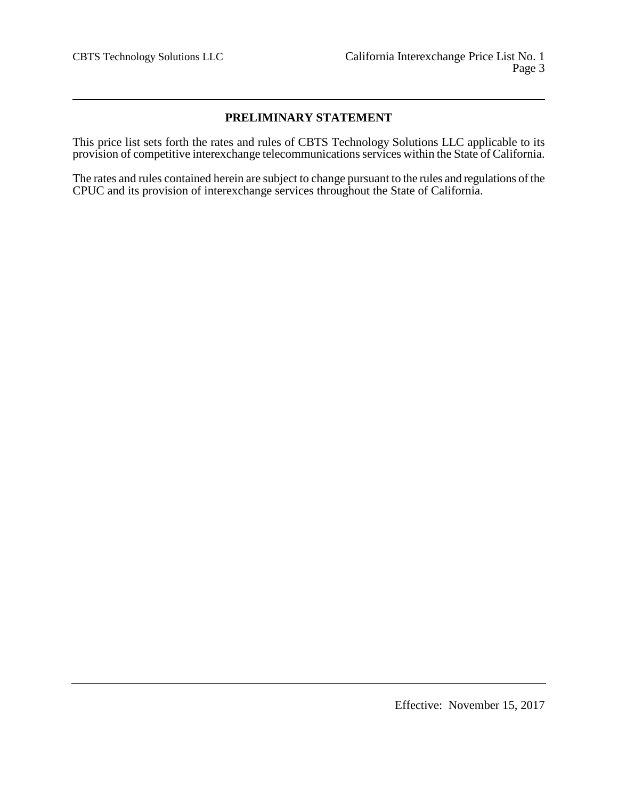# **PRELIMINARY STATEMENT**

This price list sets forth the rates and rules of CBTS Technology Solutions LLC applicable to its provision of competitive interexchange telecommunications services within the State of California.

The rates and rules contained herein are subject to change pursuant to the rules and regulations of the CPUC and its provision of interexchange services throughout the State of California.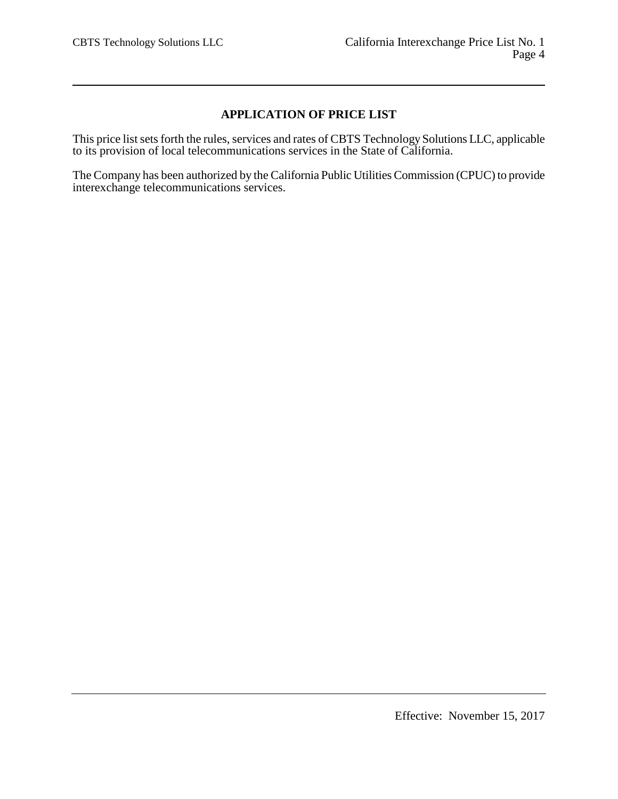# **APPLICATION OF PRICE LIST**

This price list sets forth the rules, services and rates of CBTS Technology Solutions LLC, applicable to its provision of local telecommunications services in the State of California.

The Company has been authorized by the California Public Utilities Commission (CPUC) to provide interexchange telecommunications services.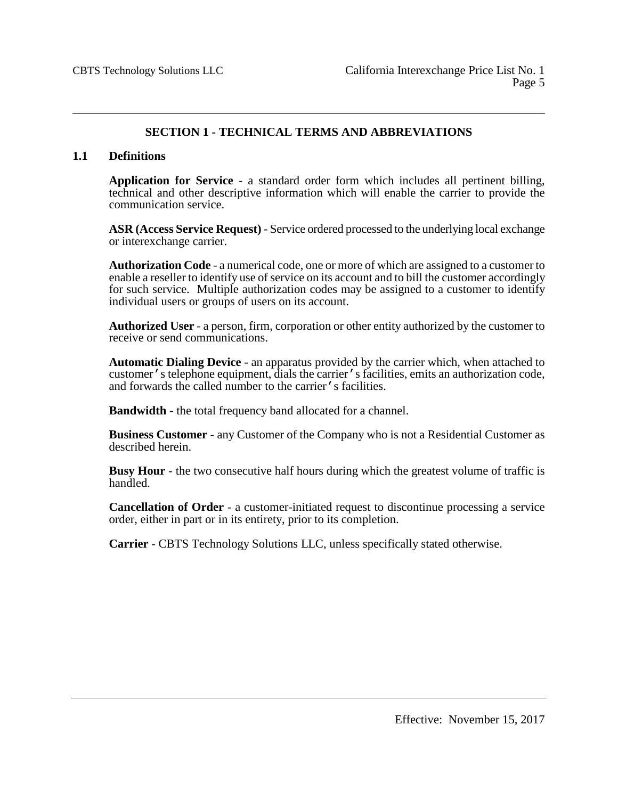# **SECTION 1 - TECHNICAL TERMS AND ABBREVIATIONS**

## **1.1 Definitions**

**Application for Service** - a standard order form which includes all pertinent billing, technical and other descriptive information which will enable the carrier to provide the communication service.

**ASR (Access Service Request)** - Service ordered processed to the underlying local exchange or interexchange carrier.

**Authorization Code** - a numerical code, one or more of which are assigned to a customer to enable a reseller to identify use of service on its account and to bill the customer accordingly for such service. Multiple authorization codes may be assigned to a customer to identify individual users or groups of users on its account.

**Authorized User** - a person, firm, corporation or other entity authorized by the customer to receive or send communications.

**Automatic Dialing Device** - an apparatus provided by the carrier which, when attached to customer's telephone equipment, dials the carrier's facilities, emits an authorization code, and forwards the called number to the carrier's facilities.

**Bandwidth** - the total frequency band allocated for a channel.

**Business Customer** - any Customer of the Company who is not a Residential Customer as described herein.

**Busy Hour** - the two consecutive half hours during which the greatest volume of traffic is handled.

**Cancellation of Order** - a customer-initiated request to discontinue processing a service order, either in part or in its entirety, prior to its completion.

**Carrier** - CBTS Technology Solutions LLC, unless specifically stated otherwise.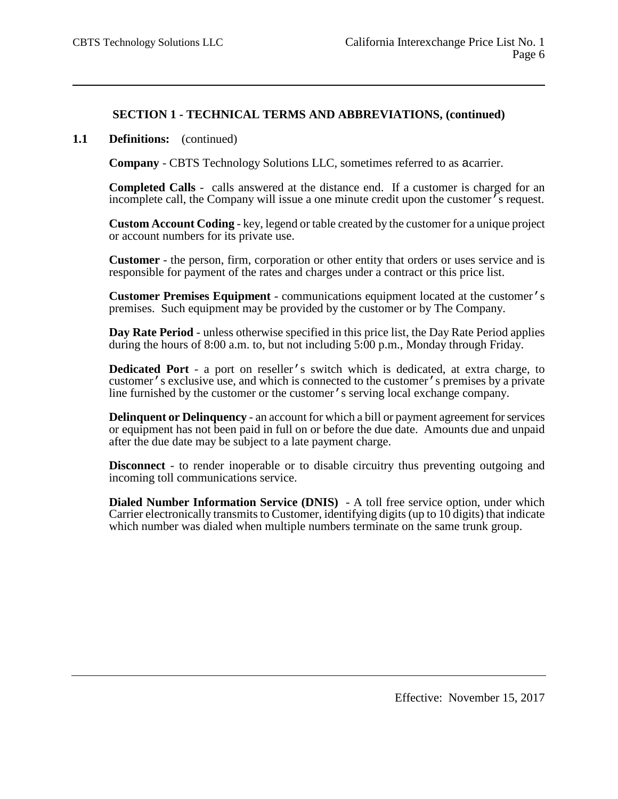## **1.1 Definitions:** (continued)

**Company** - CBTS Technology Solutions LLC, sometimes referred to as acarrier.

**Completed Calls** - calls answered at the distance end. If a customer is charged for an incomplete call, the Company will issue a one minute credit upon the customer's request.

**Custom Account Coding** - key, legend or table created by the customer for a unique project or account numbers for its private use.

**Customer** - the person, firm, corporation or other entity that orders or uses service and is responsible for payment of the rates and charges under a contract or this price list.

**Customer Premises Equipment** - communications equipment located at the customer's premises. Such equipment may be provided by the customer or by The Company.

**Day Rate Period** - unless otherwise specified in this price list, the Day Rate Period applies during the hours of 8:00 a.m. to, but not including 5:00 p.m., Monday through Friday.

**Dedicated Port** - a port on reseller's switch which is dedicated, at extra charge, to customer's exclusive use, and which is connected to the customer's premises by a private line furnished by the customer or the customer's serving local exchange company.

**Delinquent or Delinquency** - an account for which a bill or payment agreement for services or equipment has not been paid in full on or before the due date. Amounts due and unpaid after the due date may be subject to a late payment charge.

**Disconnect** - to render inoperable or to disable circuitry thus preventing outgoing and incoming toll communications service.

**Dialed Number Information Service (DNIS)** - A toll free service option, under which Carrier electronically transmits to Customer, identifying digits (up to 10 digits) that indicate which number was dialed when multiple numbers terminate on the same trunk group.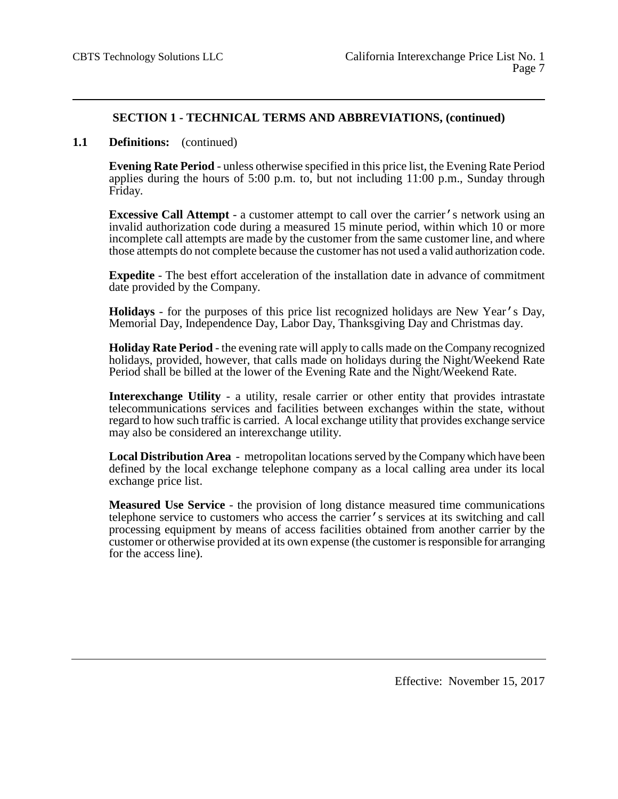### **1.1 Definitions:** (continued)

**Evening Rate Period** - unless otherwise specified in this price list, the Evening Rate Period applies during the hours of 5:00 p.m. to, but not including 11:00 p.m., Sunday through Friday.

**Excessive Call Attempt** - a customer attempt to call over the carrier's network using an invalid authorization code during a measured 15 minute period, within which 10 or more incomplete call attempts are made by the customer from the same customer line, and where those attempts do not complete because the customer has not used a valid authorization code.

**Expedite** - The best effort acceleration of the installation date in advance of commitment date provided by the Company.

**Holidays** - for the purposes of this price list recognized holidays are New Year's Day, Memorial Day, Independence Day, Labor Day, Thanksgiving Day and Christmas day.

**Holiday Rate Period** - the evening rate will apply to calls made on the Company recognized holidays, provided, however, that calls made on holidays during the Night/Weekend Rate Period shall be billed at the lower of the Evening Rate and the Night/Weekend Rate.

**Interexchange Utility** - a utility, resale carrier or other entity that provides intrastate telecommunications services and facilities between exchanges within the state, without regard to how such traffic is carried. A local exchange utility that provides exchange service may also be considered an interexchange utility.

**Local Distribution Area** - metropolitan locations served by the Company which have been defined by the local exchange telephone company as a local calling area under its local exchange price list.

**Measured Use Service** - the provision of long distance measured time communications telephone service to customers who access the carrier's services at its switching and call processing equipment by means of access facilities obtained from another carrier by the customer or otherwise provided at its own expense (the customer is responsible for arranging for the access line).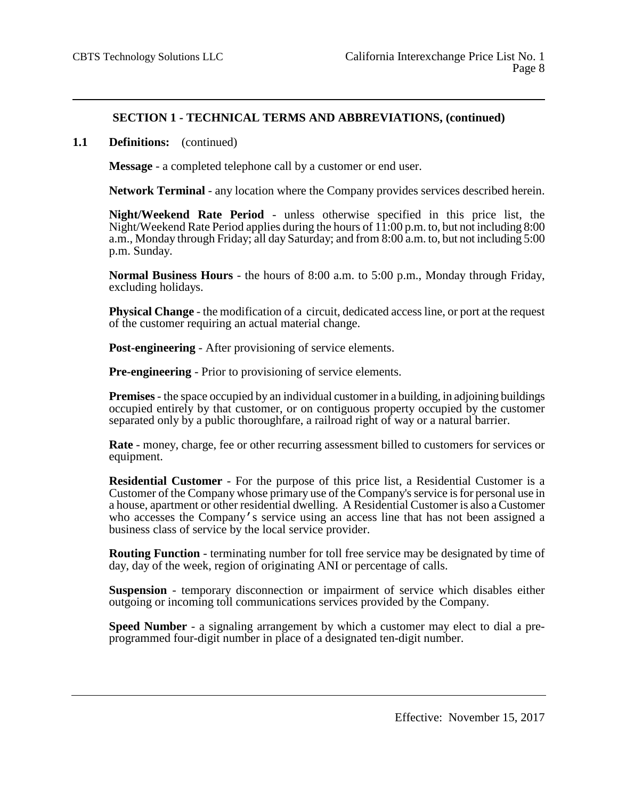### **1.1 Definitions:** (continued)

**Message** - a completed telephone call by a customer or end user.

**Network Terminal** - any location where the Company provides services described herein.

**Night/Weekend Rate Period** - unless otherwise specified in this price list, the Night/Weekend Rate Period applies during the hours of  $11:00$  p.m. to, but not including 8:00 a.m., Monday through Friday; all day Saturday; and from 8:00 a.m. to, but not including 5:00 p.m. Sunday.

**Normal Business Hours** - the hours of 8:00 a.m. to 5:00 p.m., Monday through Friday, excluding holidays.

**Physical Change** - the modification of a circuit, dedicated access line, or port at the request of the customer requiring an actual material change.

**Post-engineering** - After provisioning of service elements.

**Pre-engineering** - Prior to provisioning of service elements.

**Premises**- the space occupied by an individual customer in a building, in adjoining buildings occupied entirely by that customer, or on contiguous property occupied by the customer separated only by a public thoroughfare, a railroad right of way or a natural barrier.

**Rate** - money, charge, fee or other recurring assessment billed to customers for services or equipment.

**Residential Customer** - For the purpose of this price list, a Residential Customer is a Customer of the Company whose primary use of the Company's service is for personal use in a house, apartment or other residential dwelling. A Residential Customer is also a Customer who accesses the Company's service using an access line that has not been assigned a business class of service by the local service provider.

**Routing Function** - terminating number for toll free service may be designated by time of day, day of the week, region of originating ANI or percentage of calls.

**Suspension** - temporary disconnection or impairment of service which disables either outgoing or incoming toll communications services provided by the Company.

**Speed Number** - a signaling arrangement by which a customer may elect to dial a preprogrammed four-digit number in place of a designated ten-digit number.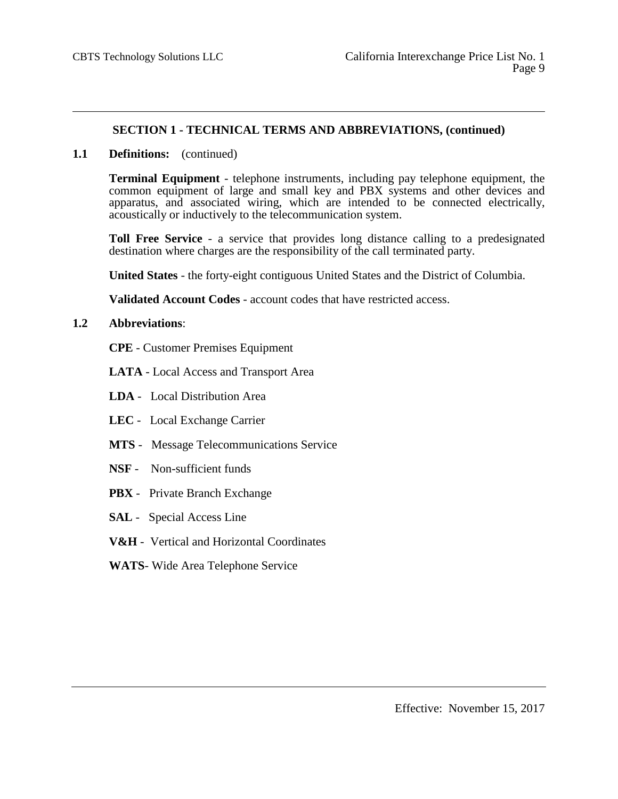## **1.1 Definitions:** (continued)

**Terminal Equipment** - telephone instruments, including pay telephone equipment, the common equipment of large and small key and PBX systems and other devices and apparatus, and associated wiring, which are intended to be connected electrically, acoustically or inductively to the telecommunication system.

**Toll Free Service** - a service that provides long distance calling to a predesignated destination where charges are the responsibility of the call terminated party.

**United States** - the forty-eight contiguous United States and the District of Columbia.

**Validated Account Codes** - account codes that have restricted access.

## **1.2 Abbreviations**:

- **CPE** Customer Premises Equipment
- **LATA** Local Access and Transport Area
- **LDA** Local Distribution Area
- **LEC** Local Exchange Carrier
- **MTS** Message Telecommunications Service
- **NSF** Non-sufficient funds
- **PBX** Private Branch Exchange
- **SAL** Special Access Line
- **V&H** Vertical and Horizontal Coordinates
- **WATS** Wide Area Telephone Service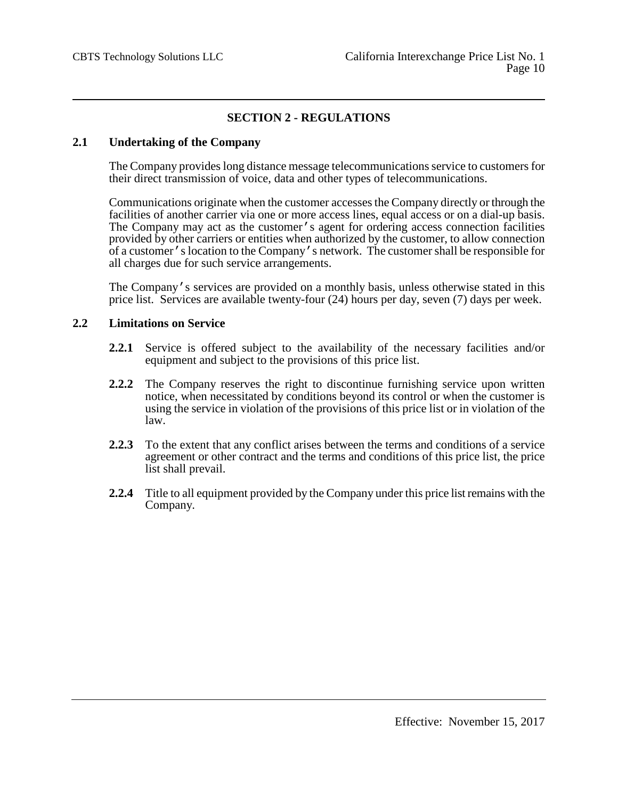# **SECTION 2 - REGULATIONS**

## **2.1 Undertaking of the Company**

The Company provides long distance message telecommunications service to customers for their direct transmission of voice, data and other types of telecommunications.

Communications originate when the customer accesses the Company directly or through the facilities of another carrier via one or more access lines, equal access or on a dial-up basis. The Company may act as the customer's agent for ordering access connection facilities provided by other carriers or entities when authorized by the customer, to allow connection of a customer's location to the Company's network. The customer shall be responsible for all charges due for such service arrangements.

The Company's services are provided on a monthly basis, unless otherwise stated in this price list. Services are available twenty-four (24) hours per day, seven (7) days per week.

## **2.2 Limitations on Service**

- **2.2.1** Service is offered subject to the availability of the necessary facilities and/or equipment and subject to the provisions of this price list.
- **2.2.2** The Company reserves the right to discontinue furnishing service upon written notice, when necessitated by conditions beyond its control or when the customer is using the service in violation of the provisions of this price list or in violation of the law.
- **2.2.3** To the extent that any conflict arises between the terms and conditions of a service agreement or other contract and the terms and conditions of this price list, the price list shall prevail.
- **2.2.4** Title to all equipment provided by the Company under this price list remains with the Company.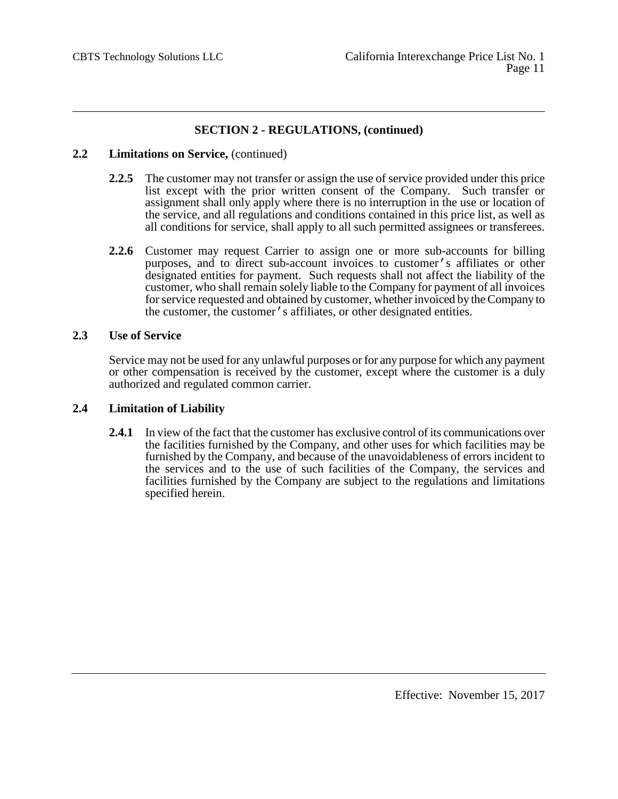### **2.2 Limitations on Service,** (continued)

- **2.2.5** The customer may not transfer or assign the use of service provided under this price list except with the prior written consent of the Company. Such transfer or assignment shall only apply where there is no interruption in the use or location of the service, and all regulations and conditions contained in this price list, as well as all conditions for service, shall apply to all such permitted assignees or transferees.
- **2.2.6** Customer may request Carrier to assign one or more sub-accounts for billing purposes, and to direct sub-account invoices to customer's affiliates or other designated entities for payment. Such requests shall not affect the liability of the customer, who shall remain solely liable to the Company for payment of all invoices for service requested and obtained by customer, whether invoiced by the Company to the customer, the customer's affiliates, or other designated entities.

## **2.3 Use of Service**

Service may not be used for any unlawful purposes or for any purpose for which any payment or other compensation is received by the customer, except where the customer is a duly authorized and regulated common carrier.

## **2.4 Limitation of Liability**

**2.4.1** In view of the fact that the customer has exclusive control of its communications over the facilities furnished by the Company, and other uses for which facilities may be furnished by the Company, and because of the unavoidableness of errors incident to the services and to the use of such facilities of the Company, the services and facilities furnished by the Company are subject to the regulations and limitations specified herein.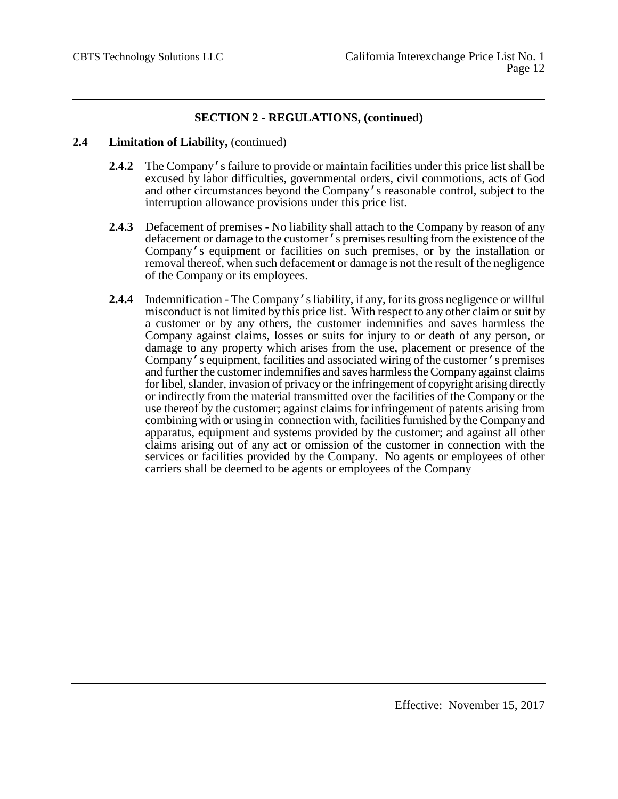## **2.4 Limitation of Liability,** (continued)

- **2.4.2** The Company's failure to provide or maintain facilities under this price list shall be excused by labor difficulties, governmental orders, civil commotions, acts of God and other circumstances beyond the Company's reasonable control, subject to the interruption allowance provisions under this price list.
- **2.4.3** Defacement of premises No liability shall attach to the Company by reason of any defacement or damage to the customer's premises resulting from the existence of the Company's equipment or facilities on such premises, or by the installation or removal thereof, when such defacement or damage is not the result of the negligence of the Company or its employees.
- **2.4.4** Indemnification The Company's liability, if any, for its gross negligence or willful misconduct is not limited by this price list. With respect to any other claim or suit by a customer or by any others, the customer indemnifies and saves harmless the Company against claims, losses or suits for injury to or death of any person, or damage to any property which arises from the use, placement or presence of the Company's equipment, facilities and associated wiring of the customer's premises and further the customer indemnifies and saves harmless the Company against claims for libel, slander, invasion of privacy or the infringement of copyright arising directly or indirectly from the material transmitted over the facilities of the Company or the use thereof by the customer; against claims for infringement of patents arising from combining with or using in connection with, facilities furnished by the Company and apparatus, equipment and systems provided by the customer; and against all other claims arising out of any act or omission of the customer in connection with the services or facilities provided by the Company. No agents or employees of other carriers shall be deemed to be agents or employees of the Company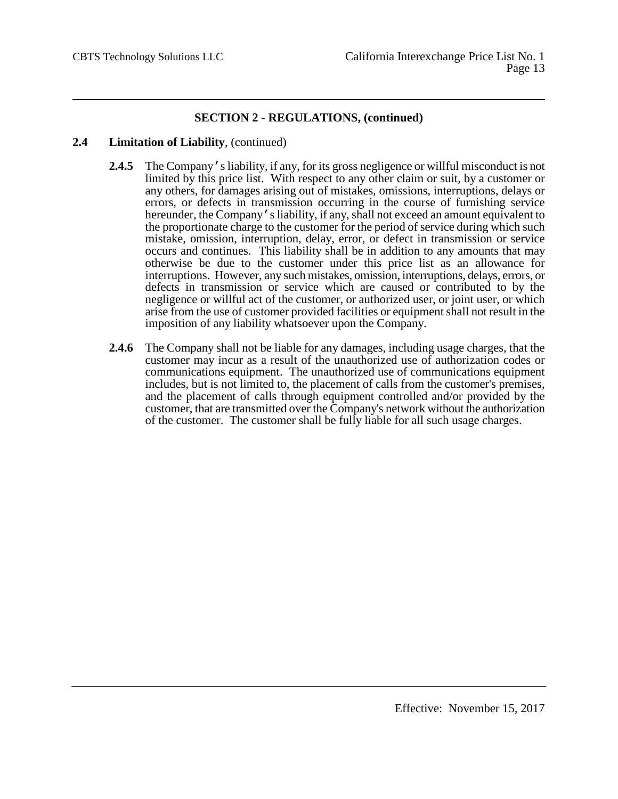## **2.4 Limitation of Liability**, (continued)

- **2.4.5** The Company's liability, if any, for its gross negligence or willful misconduct is not limited by this price list. With respect to any other claim or suit, by a customer or any others, for damages arising out of mistakes, omissions, interruptions, delays or errors, or defects in transmission occurring in the course of furnishing service hereunder, the Company's liability, if any, shall not exceed an amount equivalent to the proportionate charge to the customer for the period of service during which such mistake, omission, interruption, delay, error, or defect in transmission or service occurs and continues. This liability shall be in addition to any amounts that may otherwise be due to the customer under this price list as an allowance for interruptions. However, any such mistakes, omission, interruptions, delays, errors, or defects in transmission or service which are caused or contributed to by the negligence or willful act of the customer, or authorized user, or joint user, or which arise from the use of customer provided facilities or equipment shall not result in the imposition of any liability whatsoever upon the Company.
- **2.4.6** The Company shall not be liable for any damages, including usage charges, that the customer may incur as a result of the unauthorized use of authorization codes or communications equipment. The unauthorized use of communications equipment includes, but is not limited to, the placement of calls from the customer's premises, and the placement of calls through equipment controlled and/or provided by the customer, that are transmitted over the Company's network without the authorization of the customer. The customer shall be fully liable for all such usage charges.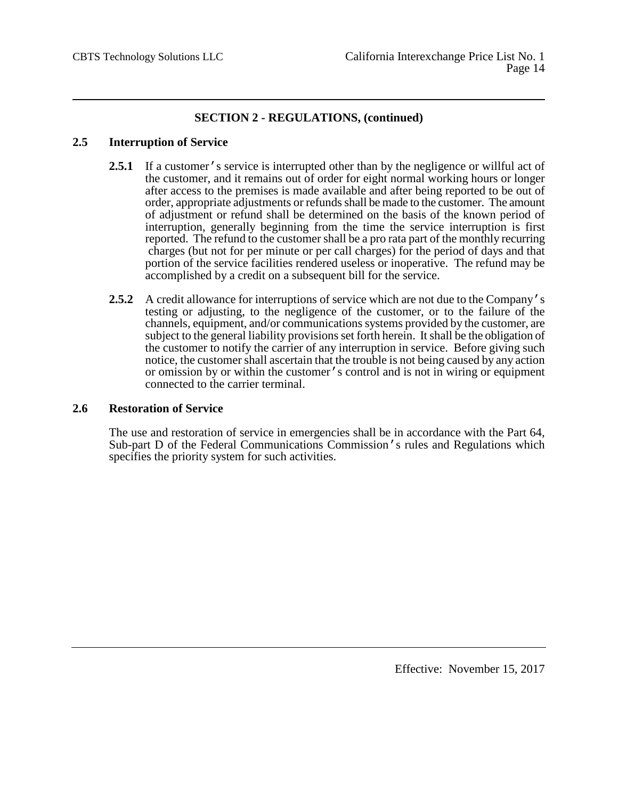## **2.5 Interruption of Service**

- 2.5.1 If a customer's service is interrupted other than by the negligence or willful act of the customer, and it remains out of order for eight normal working hours or longer after access to the premises is made available and after being reported to be out of order, appropriate adjustments or refunds shall be made to the customer. The amount of adjustment or refund shall be determined on the basis of the known period of interruption, generally beginning from the time the service interruption is first reported. The refund to the customer shall be a pro rata part of the monthly recurring charges (but not for per minute or per call charges) for the period of days and that portion of the service facilities rendered useless or inoperative. The refund may be accomplished by a credit on a subsequent bill for the service.
- **2.5.2** A credit allowance for interruptions of service which are not due to the Company's testing or adjusting, to the negligence of the customer, or to the failure of the channels, equipment, and/or communications systems provided by the customer, are subject to the general liability provisions set forth herein. It shall be the obligation of the customer to notify the carrier of any interruption in service. Before giving such notice, the customer shall ascertain that the trouble is not being caused by any action or omission by or within the customer's control and is not in wiring or equipment connected to the carrier terminal.

## **2.6 Restoration of Service**

The use and restoration of service in emergencies shall be in accordance with the Part 64, Sub-part D of the Federal Communications Commission's rules and Regulations which specifies the priority system for such activities.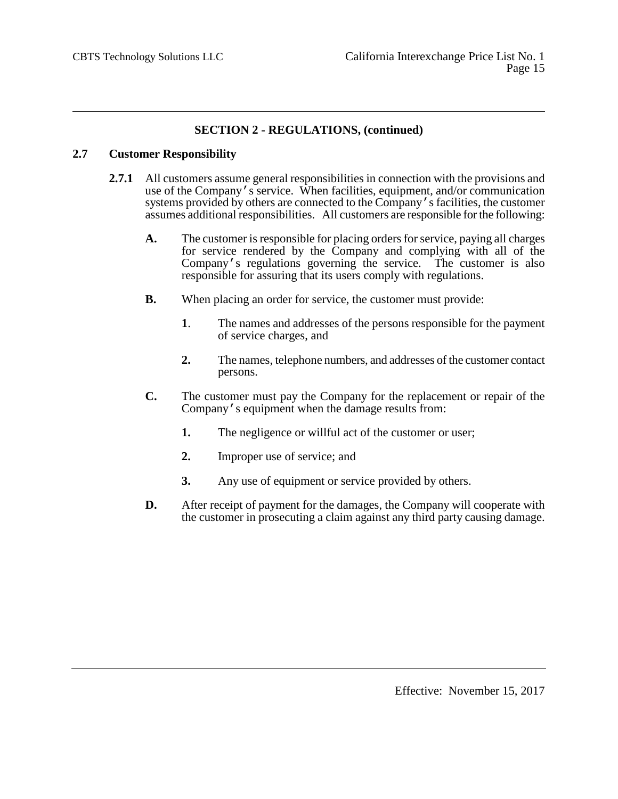# **2.7 Customer Responsibility**

- **2.7.1** All customers assume general responsibilities in connection with the provisions and use of the Company's service. When facilities, equipment, and/or communication systems provided by others are connected to the Company's facilities, the customer assumes additional responsibilities. All customers are responsible for the following:
	- **A.** The customer is responsible for placing orders for service, paying all charges for service rendered by the Company and complying with all of the Company's regulations governing the service. The customer is also responsible for assuring that its users comply with regulations.
	- **B.** When placing an order for service, the customer must provide:
		- **1**. The names and addresses of the persons responsible for the payment of service charges, and
		- **2.** The names, telephone numbers, and addresses of the customer contact persons.
	- **C.** The customer must pay the Company for the replacement or repair of the Company's equipment when the damage results from:
		- **1.** The negligence or willful act of the customer or user;
		- **2.** Improper use of service; and
		- **3.** Any use of equipment or service provided by others.
	- **D.** After receipt of payment for the damages, the Company will cooperate with the customer in prosecuting a claim against any third party causing damage.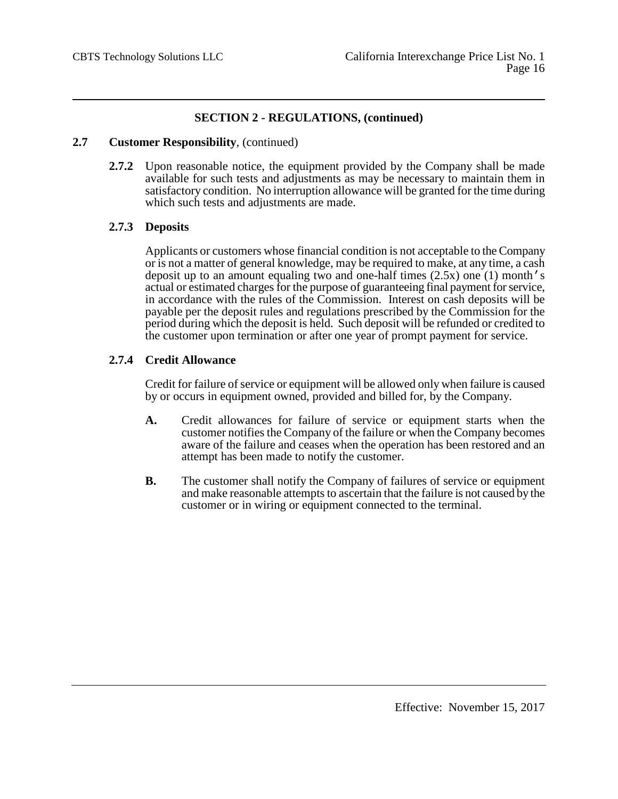## **2.7 Customer Responsibility**, (continued)

**2.7.2** Upon reasonable notice, the equipment provided by the Company shall be made available for such tests and adjustments as may be necessary to maintain them in satisfactory condition. No interruption allowance will be granted for the time during which such tests and adjustments are made.

## **2.7.3 Deposits**

Applicants or customers whose financial condition is not acceptable to the Company or is not a matter of general knowledge, may be required to make, at any time, a cash deposit up to an amount equaling two and one-half times (2.5x) one (1) month's actual or estimated charges for the purpose of guaranteeing final payment for service, in accordance with the rules of the Commission. Interest on cash deposits will be payable per the deposit rules and regulations prescribed by the Commission for the period during which the deposit is held. Such deposit will be refunded or credited to the customer upon termination or after one year of prompt payment for service.

## **2.7.4 Credit Allowance**

Credit for failure of service or equipment will be allowed only when failure is caused by or occurs in equipment owned, provided and billed for, by the Company.

- **A.** Credit allowances for failure of service or equipment starts when the customer notifies the Company of the failure or when the Company becomes aware of the failure and ceases when the operation has been restored and an attempt has been made to notify the customer.
- **B.** The customer shall notify the Company of failures of service or equipment and make reasonable attempts to ascertain that the failure is not caused by the customer or in wiring or equipment connected to the terminal.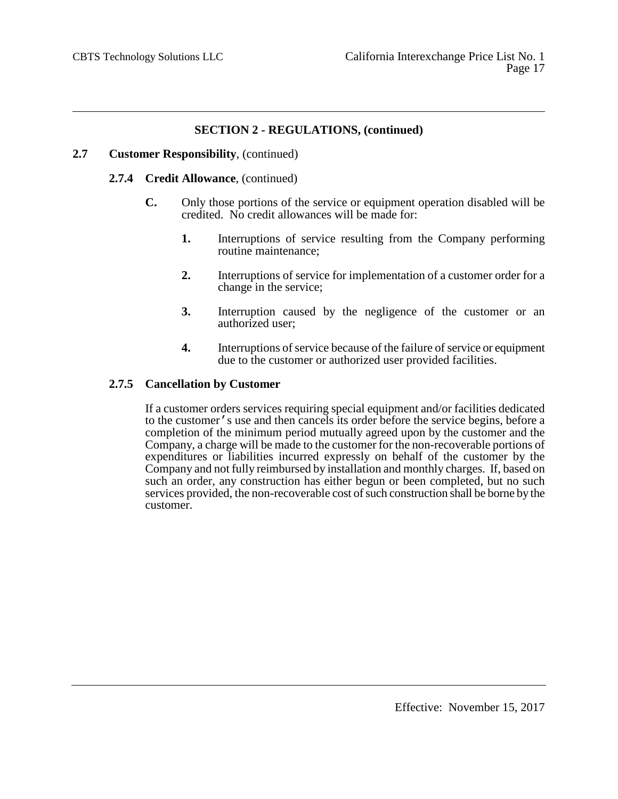## **2.7 Customer Responsibility**, (continued)

## **2.7.4 Credit Allowance**, (continued)

- **C.** Only those portions of the service or equipment operation disabled will be credited. No credit allowances will be made for:
	- **1.** Interruptions of service resulting from the Company performing routine maintenance;
	- **2.** Interruptions of service for implementation of a customer order for a change in the service;
	- **3.** Interruption caused by the negligence of the customer or an authorized user;
	- **4.** Interruptions of service because of the failure of service or equipment due to the customer or authorized user provided facilities.

## **2.7.5 Cancellation by Customer**

If a customer orders services requiring special equipment and/or facilities dedicated to the customer's use and then cancels its order before the service begins, before a completion of the minimum period mutually agreed upon by the customer and the Company, a charge will be made to the customer for the non-recoverable portions of expenditures or liabilities incurred expressly on behalf of the customer by the Company and not fully reimbursed by installation and monthly charges. If, based on such an order, any construction has either begun or been completed, but no such services provided, the non-recoverable cost of such construction shall be borne by the customer.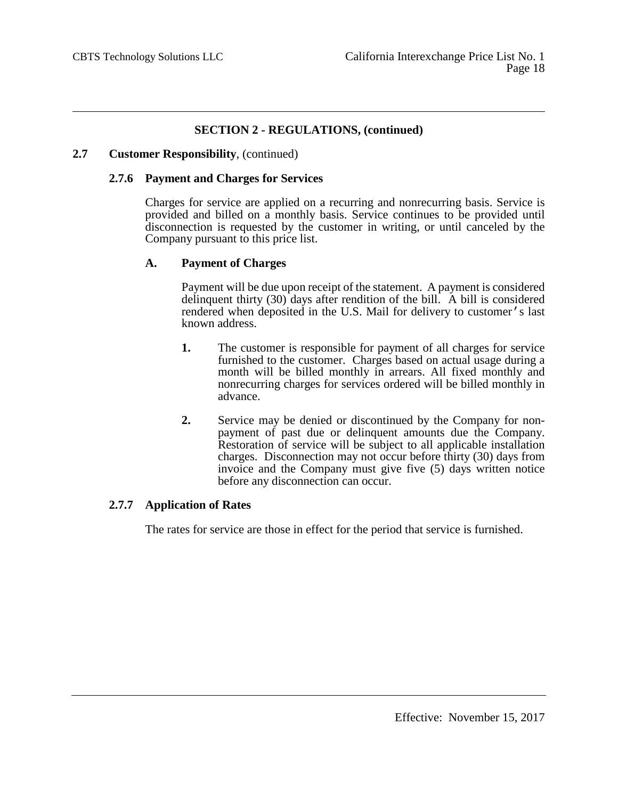### **2.7 Customer Responsibility**, (continued)

### **2.7.6 Payment and Charges for Services**

Charges for service are applied on a recurring and nonrecurring basis. Service is provided and billed on a monthly basis. Service continues to be provided until disconnection is requested by the customer in writing, or until canceled by the Company pursuant to this price list.

## **A. Payment of Charges**

Payment will be due upon receipt of the statement. A payment is considered delinquent thirty (30) days after rendition of the bill. A bill is considered rendered when deposited in the U.S. Mail for delivery to customer's last known address.

- **1.** The customer is responsible for payment of all charges for service furnished to the customer. Charges based on actual usage during a month will be billed monthly in arrears. All fixed monthly and nonrecurring charges for services ordered will be billed monthly in advance.
- **2.** Service may be denied or discontinued by the Company for non-<br>payment of past due or delinquent amounts due the Company. Restoration of service will be subject to all applicable installation charges. Disconnection may not occur before thirty (30) days from invoice and the Company must give five (5) days written notice before any disconnection can occur.

## **2.7.7 Application of Rates**

The rates for service are those in effect for the period that service is furnished.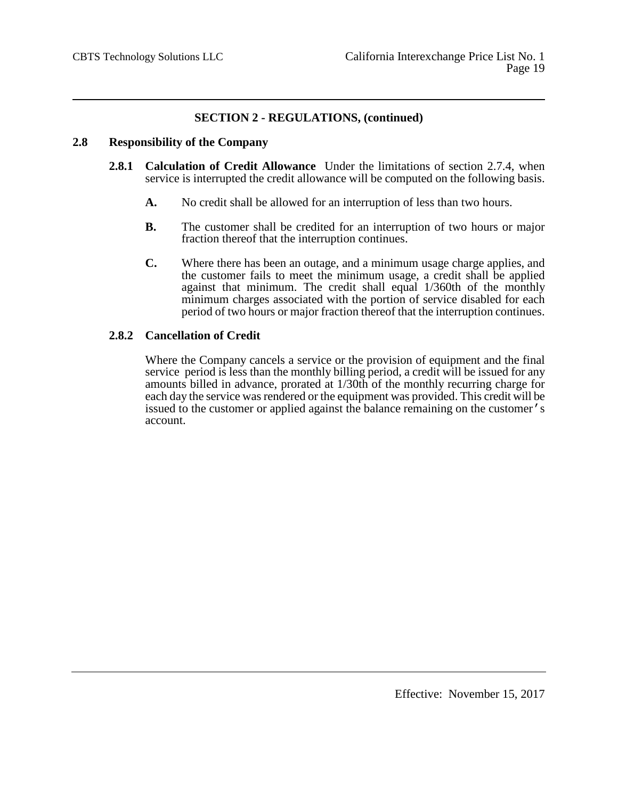## **2.8 Responsibility of the Company**

- **2.8.1 Calculation of Credit Allowance** Under the limitations of section 2.7.4, when service is interrupted the credit allowance will be computed on the following basis.
	- **A.** No credit shall be allowed for an interruption of less than two hours.
	- **B.** The customer shall be credited for an interruption of two hours or major fraction thereof that the interruption continues.
	- **C.** Where there has been an outage, and a minimum usage charge applies, and the customer fails to meet the minimum usage, a credit shall be applied against that minimum. The credit shall equal 1/360th of the monthly minimum charges associated with the portion of service disabled for each period of two hours or major fraction thereof that the interruption continues.

## **2.8.2 Cancellation of Credit**

Where the Company cancels a service or the provision of equipment and the final service period is less than the monthly billing period, a credit will be issued for any amounts billed in advance, prorated at 1/30th of the monthly recurring charge for each day the service was rendered or the equipment was provided. This credit will be issued to the customer or applied against the balance remaining on the customer's account.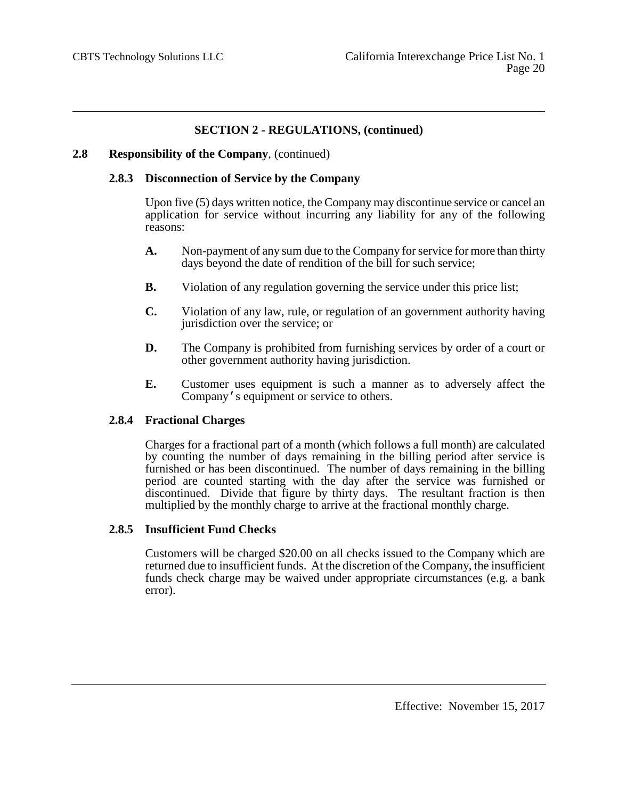### **2.8 Responsibility of the Company**, (continued)

### **2.8.3 Disconnection of Service by the Company**

Upon five (5) days written notice, the Company may discontinue service or cancel an application for service without incurring any liability for any of the following reasons:

- **A.** Non-payment of any sum due to the Company for service for more than thirty days beyond the date of rendition of the bill for such service;
- **B.** Violation of any regulation governing the service under this price list;
- **C.** Violation of any law, rule, or regulation of an government authority having jurisdiction over the service; or
- **D.** The Company is prohibited from furnishing services by order of a court or other government authority having jurisdiction.
- **E.** Customer uses equipment is such a manner as to adversely affect the Company's equipment or service to others.

#### **2.8.4 Fractional Charges**

Charges for a fractional part of a month (which follows a full month) are calculated by counting the number of days remaining in the billing period after service is furnished or has been discontinued. The number of days remaining in the billing period are counted starting with the day after the service was furnished or discontinued. Divide that figure by thirty days. The resultant fraction is then multiplied by the monthly charge to arrive at the fractional monthly charge.

### **2.8.5 Insufficient Fund Checks**

Customers will be charged \$20.00 on all checks issued to the Company which are returned due to insufficient funds. At the discretion of the Company, the insufficient funds check charge may be waived under appropriate circumstances (e.g. a bank error).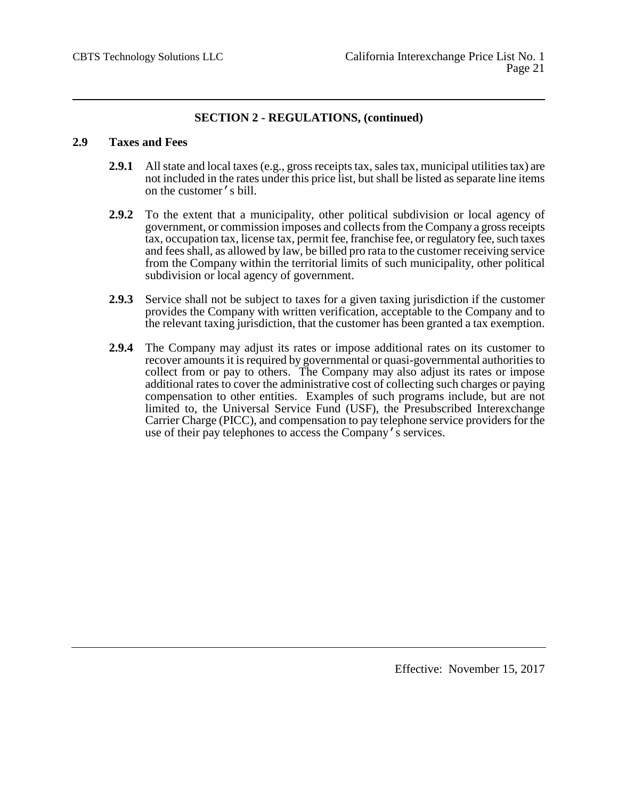## **2.9 Taxes and Fees**

- **2.9.1** All state and local taxes (e.g., gross receipts tax, sales tax, municipal utilities tax) are not included in the rates under this price list, but shall be listed as separate line items on the customer's bill.
- **2.9.2** To the extent that a municipality, other political subdivision or local agency of government, or commission imposes and collects from the Company a gross receipts tax, occupation tax, license tax, permit fee, franchise fee, or regulatory fee, such taxes and fees shall, as allowed by law, be billed pro rata to the customer receiving service from the Company within the territorial limits of such municipality, other political subdivision or local agency of government.
- **2.9.3** Service shall not be subject to taxes for a given taxing jurisdiction if the customer provides the Company with written verification, acceptable to the Company and to the relevant taxing jurisdiction, that the customer has been granted a tax exemption.
- **2.9.4** The Company may adjust its rates or impose additional rates on its customer to recover amounts it is required by governmental or quasi-governmental authorities to collect from or pay to others. The Company may also adjust its rates or impose additional rates to cover the administrative cost of collecting such charges or paying compensation to other entities. Examples of such programs include, but are not limited to, the Universal Service Fund (USF), the Presubscribed Interexchange Carrier Charge (PICC), and compensation to pay telephone service providers for the use of their pay telephones to access the Company's services.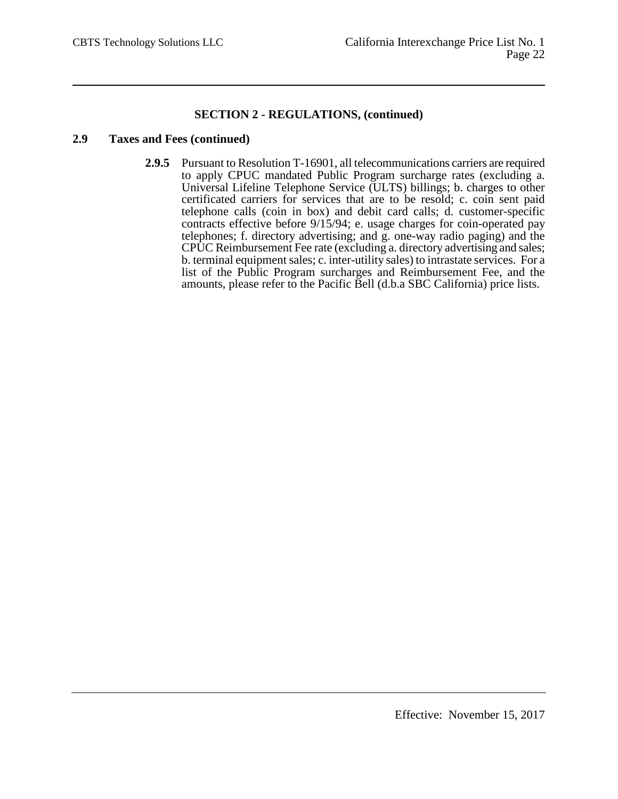## **2.9 Taxes and Fees (continued)**

**2.9.5** Pursuant to Resolution T-16901, all telecommunications carriers are required to apply CPUC mandated Public Program surcharge rates (excluding a. Universal Lifeline Telephone Service (ULTS) billings; b. charges to other certificated carriers for services that are to be resold; c. coin sent paid telephone calls (coin in box) and debit card calls; d. customer-specific contracts effective before 9/15/94; e. usage charges for coin-operated pay telephones; f. directory advertising; and g. one-way radio paging) and the CPUC Reimbursement Fee rate (excluding a. directory advertising and sales; b. terminal equipment sales; c. inter-utility sales) to intrastate services. For a list of the Public Program surcharges and Reimbursement Fee, and the amounts, please refer to the Pacific Bell (d.b.a SBC California) price lists.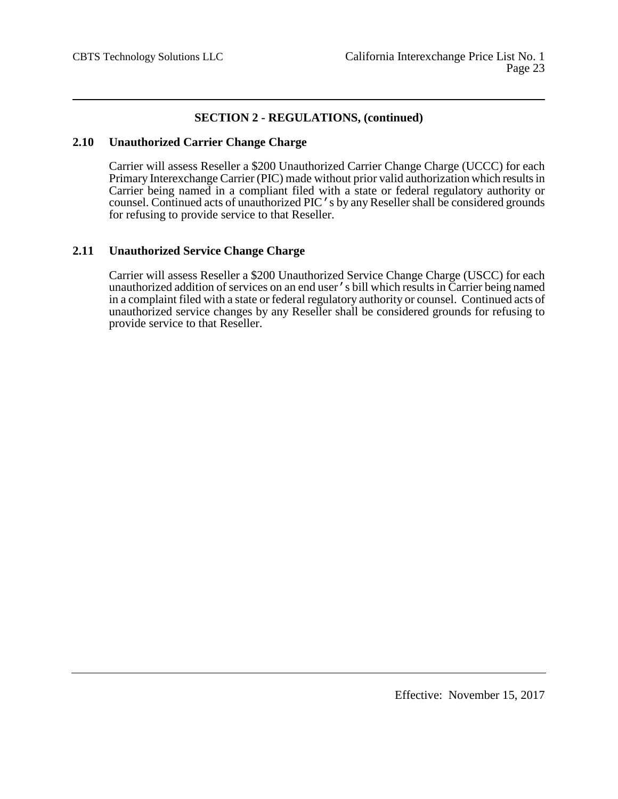## **2.10 Unauthorized Carrier Change Charge**

Carrier will assess Reseller a \$200 Unauthorized Carrier Change Charge (UCCC) for each Primary Interexchange Carrier (PIC) made without prior valid authorization which results in Carrier being named in a compliant filed with a state or federal regulatory authority or counsel. Continued acts of unauthorized PIC's by any Reseller shall be considered grounds for refusing to provide service to that Reseller.

## **2.11 Unauthorized Service Change Charge**

Carrier will assess Reseller a \$200 Unauthorized Service Change Charge (USCC) for each unauthorized addition of services on an end user's bill which results in Carrier being named in a complaint filed with a state or federal regulatory authority or counsel. Continued acts of unauthorized service changes by any Reseller shall be considered grounds for refusing to provide service to that Reseller.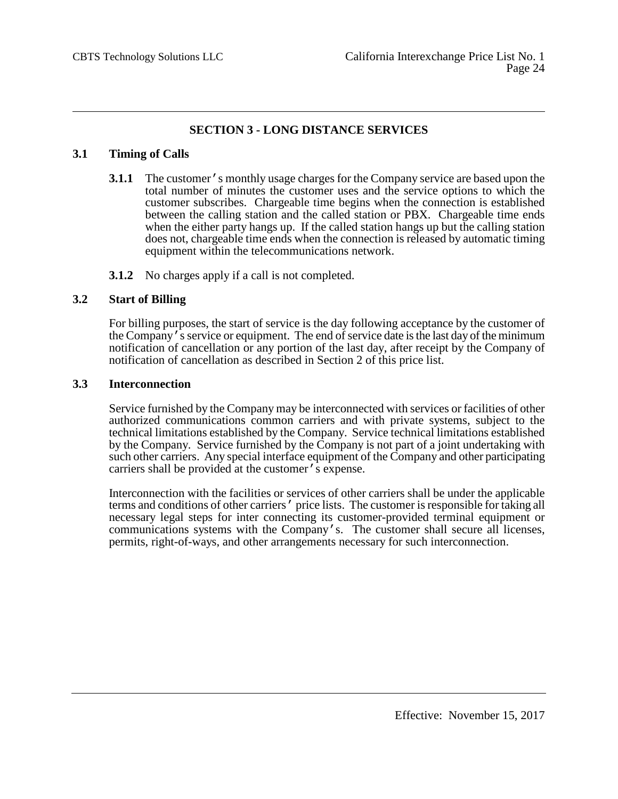# **SECTION 3 - LONG DISTANCE SERVICES**

## **3.1 Timing of Calls**

- **3.1.1** The customer's monthly usage charges for the Company service are based upon the total number of minutes the customer uses and the service options to which the customer subscribes. Chargeable time begins when the connection is established between the calling station and the called station or PBX. Chargeable time ends when the either party hangs up. If the called station hangs up but the calling station does not, chargeable time ends when the connection is released by automatic timing equipment within the telecommunications network.
- **3.1.2** No charges apply if a call is not completed.

## **3.2 Start of Billing**

For billing purposes, the start of service is the day following acceptance by the customer of the Company's service or equipment. The end of service date is the last day of the minimum notification of cancellation or any portion of the last day, after receipt by the Company of notification of cancellation as described in Section 2 of this price list.

## **3.3 Interconnection**

Service furnished by the Company may be interconnected with services or facilities of other authorized communications common carriers and with private systems, subject to the technical limitations established by the Company. Service technical limitations established by the Company. Service furnished by the Company is not part of a joint undertaking with such other carriers. Any special interface equipment of the Company and other participating carriers shall be provided at the customer's expense.

Interconnection with the facilities or services of other carriers shall be under the applicable terms and conditions of other carriers' price lists. The customer is responsible for taking all necessary legal steps for inter connecting its customer-provided terminal equipment or communications systems with the Company's. The customer shall secure all licenses, permits, right-of-ways, and other arrangements necessary for such interconnection.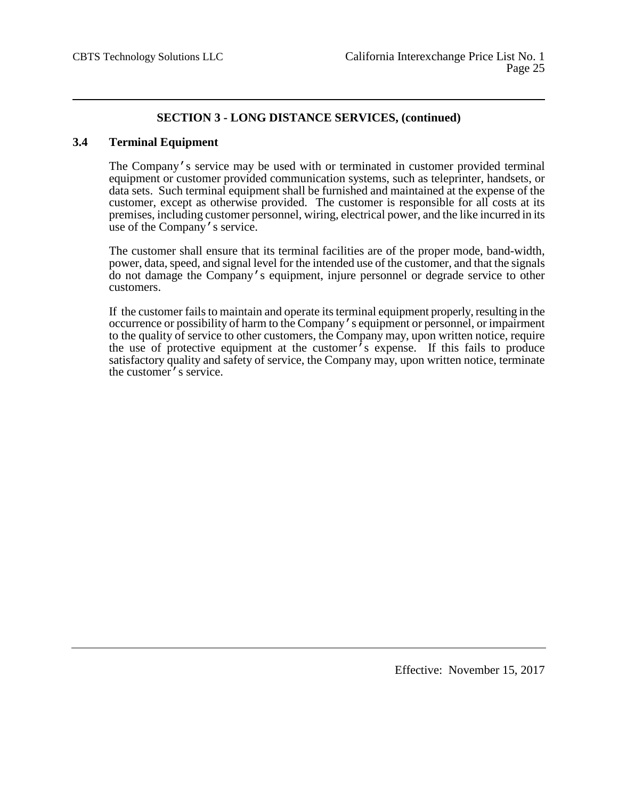## **3.4 Terminal Equipment**

The Company's service may be used with or terminated in customer provided terminal equipment or customer provided communication systems, such as teleprinter, handsets, or data sets. Such terminal equipment shall be furnished and maintained at the expense of the customer, except as otherwise provided. The customer is responsible for all costs at its premises, including customer personnel, wiring, electrical power, and the like incurred in its use of the Company's service.

The customer shall ensure that its terminal facilities are of the proper mode, band-width, power, data, speed, and signal level for the intended use of the customer, and that the signals do not damage the Company's equipment, injure personnel or degrade service to other customers.

If the customer fails to maintain and operate its terminal equipment properly, resulting in the occurrence or possibility of harm to the Company's equipment or personnel, or impairment to the quality of service to other customers, the Company may, upon written notice, require the use of protective equipment at the customer's expense. If this fails to produce satisfactory quality and safety of service, the Company may, upon written notice, terminate the customer's service.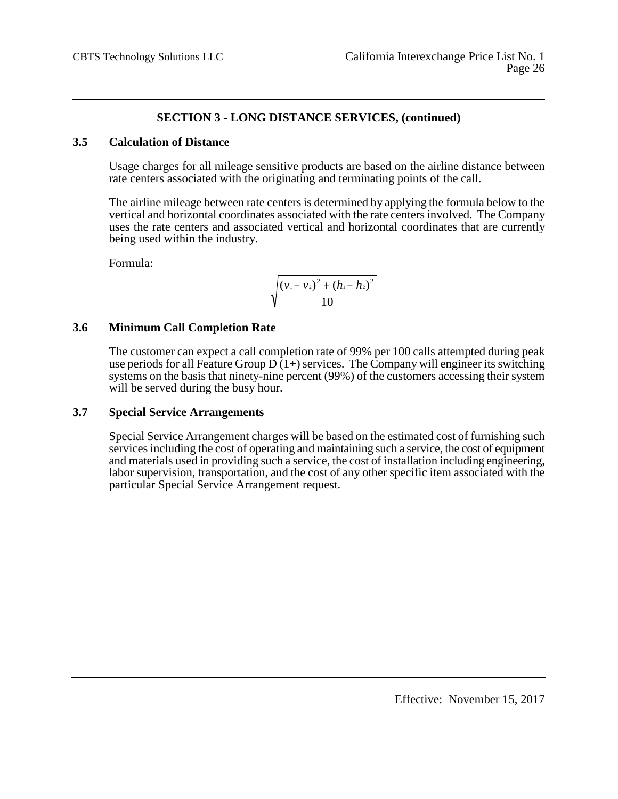## **3.5 Calculation of Distance**

Usage charges for all mileage sensitive products are based on the airline distance between rate centers associated with the originating and terminating points of the call.

The airline mileage between rate centers is determined by applying the formula below to the vertical and horizontal coordinates associated with the rate centers involved. The Company uses the rate centers and associated vertical and horizontal coordinates that are currently being used within the industry.

Formula:

$$
\sqrt{\frac{(v_1-v_2)^2+(h_1-h_2)^2}{10}}
$$

## **3.6 Minimum Call Completion Rate**

The customer can expect a call completion rate of 99% per 100 calls attempted during peak use periods for all Feature Group  $D(1+)$  services. The Company will engineer its switching systems on the basis that ninety-nine percent (99%) of the customers accessing their system will be served during the busy hour.

## **3.7 Special Service Arrangements**

Special Service Arrangement charges will be based on the estimated cost of furnishing such services including the cost of operating and maintaining such a service, the cost of equipment and materials used in providing such a service, the cost of installation including engineering, labor supervision, transportation, and the cost of any other specific item associated with the particular Special Service Arrangement request.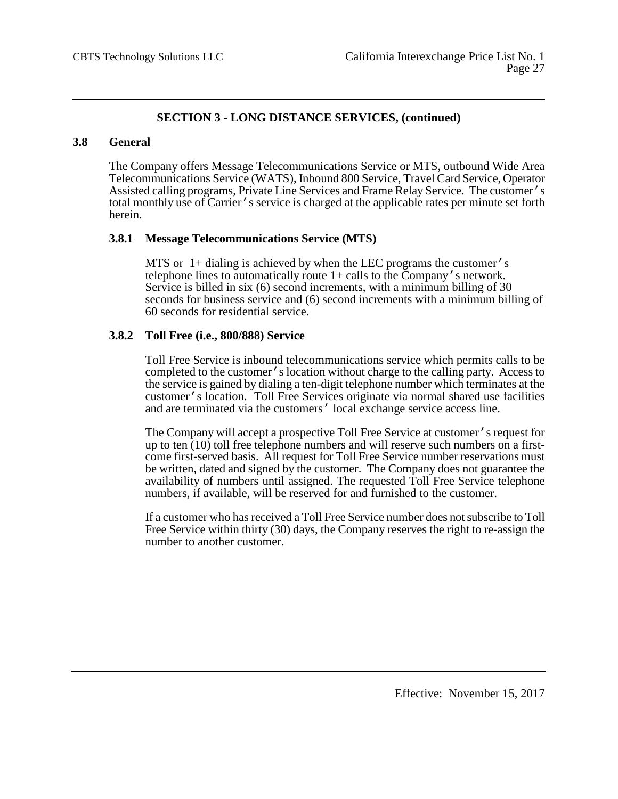## **3.8 General**

The Company offers Message Telecommunications Service or MTS, outbound Wide Area Telecommunications Service (WATS), Inbound 800 Service, Travel Card Service, Operator Assisted calling programs, Private Line Services and Frame Relay Service. The customer's total monthly use of Carrier's service is charged at the applicable rates per minute set forth herein.

## **3.8.1 Message Telecommunications Service (MTS)**

MTS or 1+ dialing is achieved by when the LEC programs the customer's telephone lines to automatically route 1+ calls to the Company's network. Service is billed in six (6) second increments, with a minimum billing of 30 seconds for business service and (6) second increments with a minimum billing of 60 seconds for residential service.

## **3.8.2 Toll Free (i.e., 800/888) Service**

Toll Free Service is inbound telecommunications service which permits calls to be completed to the customer's location without charge to the calling party. Access to the service is gained by dialing a ten-digit telephone number which terminates at the customer's location. Toll Free Services originate via normal shared use facilities and are terminated via the customers' local exchange service access line.

The Company will accept a prospective Toll Free Service at customer's request for up to ten (10) toll free telephone numbers and will reserve such numbers on a firstcome first-served basis. All request for Toll Free Service number reservations must be written, dated and signed by the customer. The Company does not guarantee the availability of numbers until assigned. The requested Toll Free Service telephone numbers, if available, will be reserved for and furnished to the customer.

If a customer who has received a Toll Free Service number does not subscribe to Toll Free Service within thirty (30) days, the Company reserves the right to re-assign the number to another customer.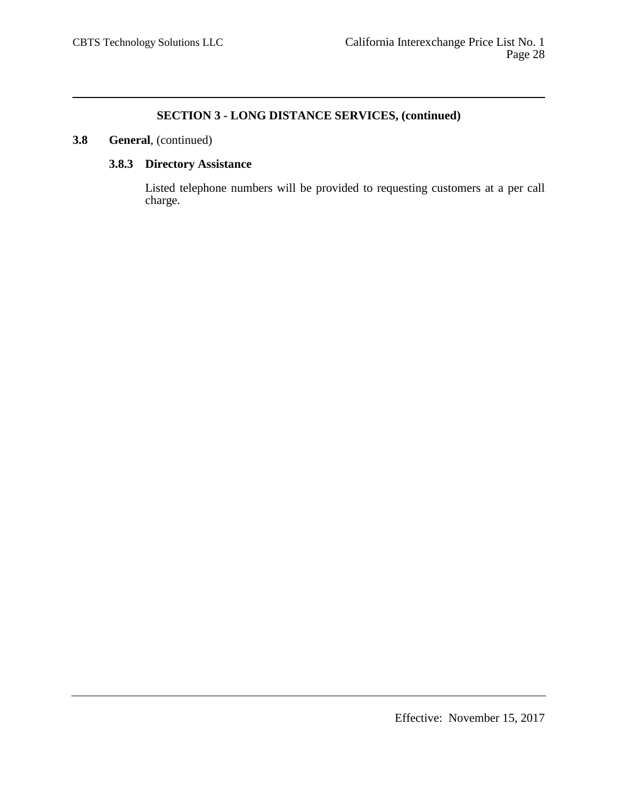# **3.8 General**, (continued)

# **3.8.3 Directory Assistance**

Listed telephone numbers will be provided to requesting customers at a per call charge.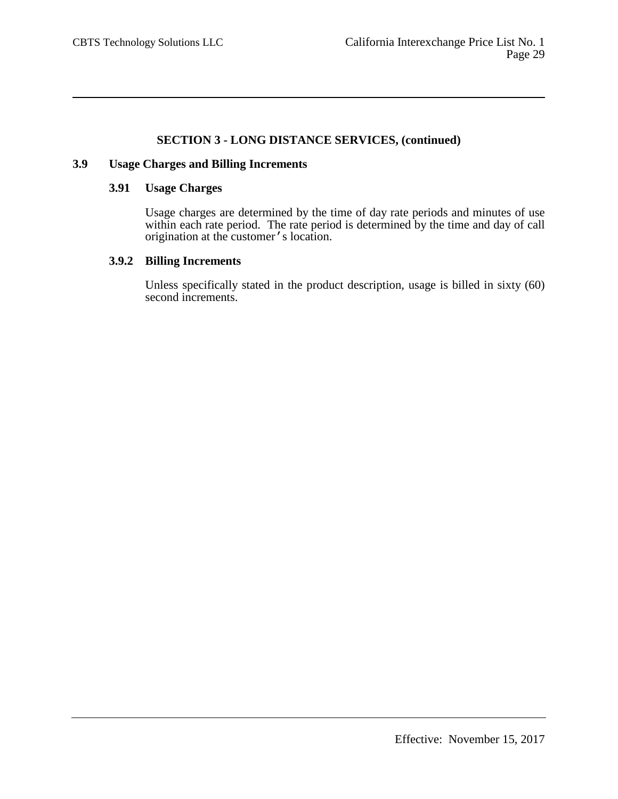## **3.9 Usage Charges and Billing Increments**

# **3.91 Usage Charges**

Usage charges are determined by the time of day rate periods and minutes of use within each rate period. The rate period is determined by the time and day of call origination at the customer's location.

# **3.9.2 Billing Increments**

Unless specifically stated in the product description, usage is billed in sixty (60) second increments.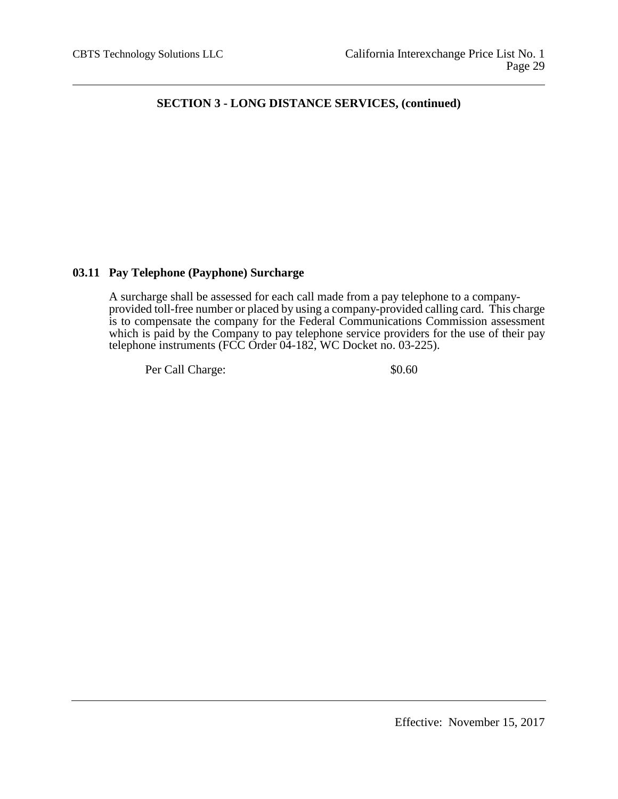## **03.11 Pay Telephone (Payphone) Surcharge**

A surcharge shall be assessed for each call made from a pay telephone to a companyprovided toll-free number or placed by using a company-provided calling card. This charge is to compensate the company for the Federal Communications Commission assessment which is paid by the Company to pay telephone service providers for the use of their pay telephone instruments (FCC Order 04-182, WC Docket no. 03-225).

Per Call Charge:  $$0.60$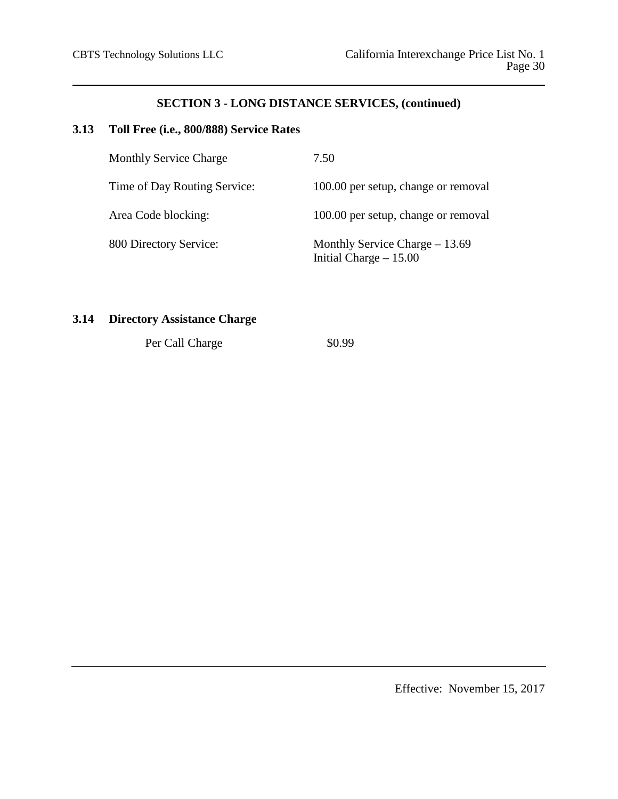# **3.13 Toll Free (i.e., 800/888) Service Rates**

| <b>Monthly Service Charge</b> | 7.50                                                       |
|-------------------------------|------------------------------------------------------------|
| Time of Day Routing Service:  | 100.00 per setup, change or removal                        |
| Area Code blocking:           | 100.00 per setup, change or removal                        |
| 800 Directory Service:        | Monthly Service Charge $-13.69$<br>Initial Charge $-15.00$ |

# **3.14 Directory Assistance Charge**

Per Call Charge \$0.99

Effective: November 15, 2017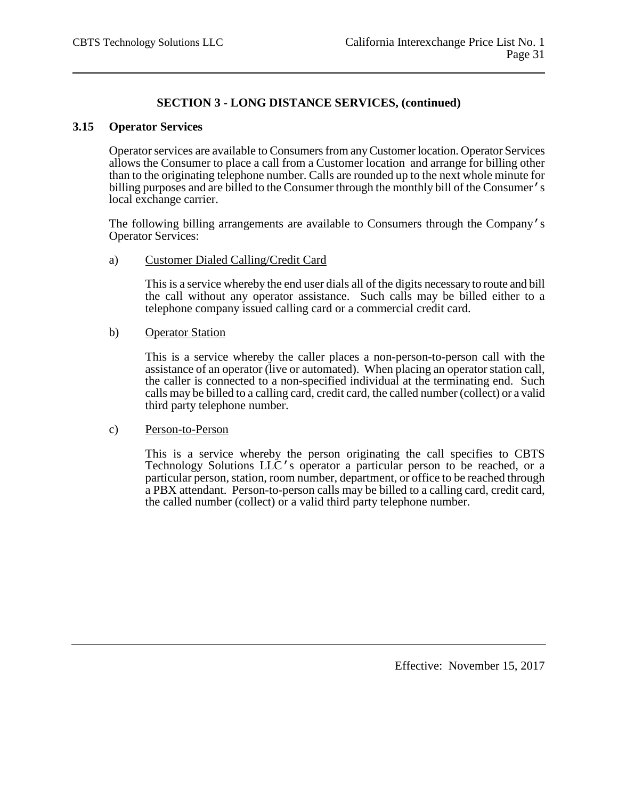## **3.15 Operator Services**

Operator services are available to Consumers from any Customer location. Operator Services allows the Consumer to place a call from a Customer location and arrange for billing other than to the originating telephone number. Calls are rounded up to the next whole minute for billing purposes and are billed to the Consumer through the monthly bill of the Consumer's local exchange carrier.

The following billing arrangements are available to Consumers through the Company's Operator Services:

## a) Customer Dialed Calling/Credit Card

This is a service whereby the end user dials all of the digits necessary to route and bill the call without any operator assistance. Such calls may be billed either to a telephone company issued calling card or a commercial credit card.

## b) Operator Station

This is a service whereby the caller places a non-person-to-person call with the assistance of an operator (live or automated). When placing an operator station call, the caller is connected to a non-specified individual at the terminating end. Such calls may be billed to a calling card, credit card, the called number (collect) or a valid third party telephone number.

## c) Person-to-Person

This is a service whereby the person originating the call specifies to CBTS Technology Solutions LLC's operator a particular person to be reached, or a particular person, station, room number, department, or office to be reached through a PBX attendant. Person-to-person calls may be billed to a calling card, credit card, the called number (collect) or a valid third party telephone number.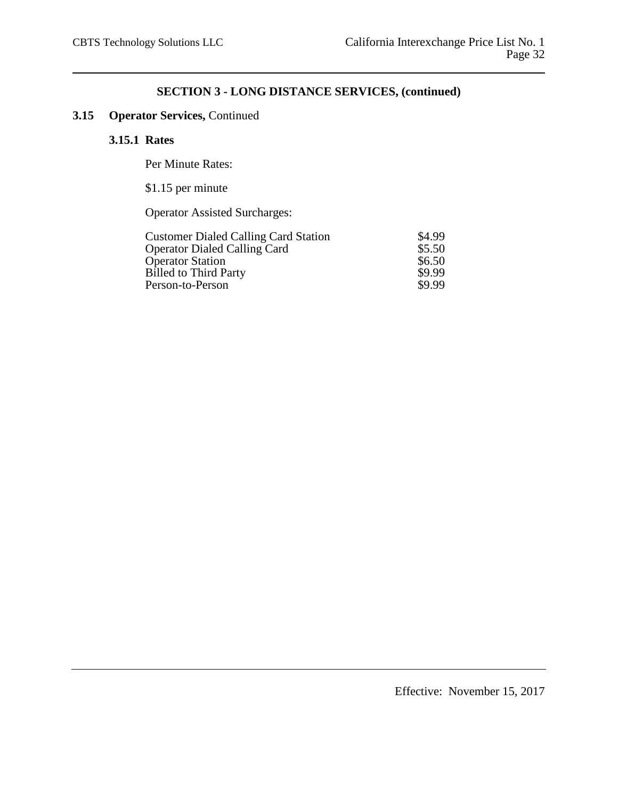# **3.15 Operator Services,** Continued

## **3.15.1 Rates**

Per Minute Rates:

\$1.15 per minute

Operator Assisted Surcharges:

| <b>Customer Dialed Calling Card Station</b> | \$4.99 |
|---------------------------------------------|--------|
| <b>Operator Dialed Calling Card</b>         | \$5.50 |
| <b>Operator Station</b>                     | \$6.50 |
| <b>Billed to Third Party</b>                | \$9.99 |
| Person-to-Person                            | \$9.99 |
|                                             |        |

Effective: November 15, 2017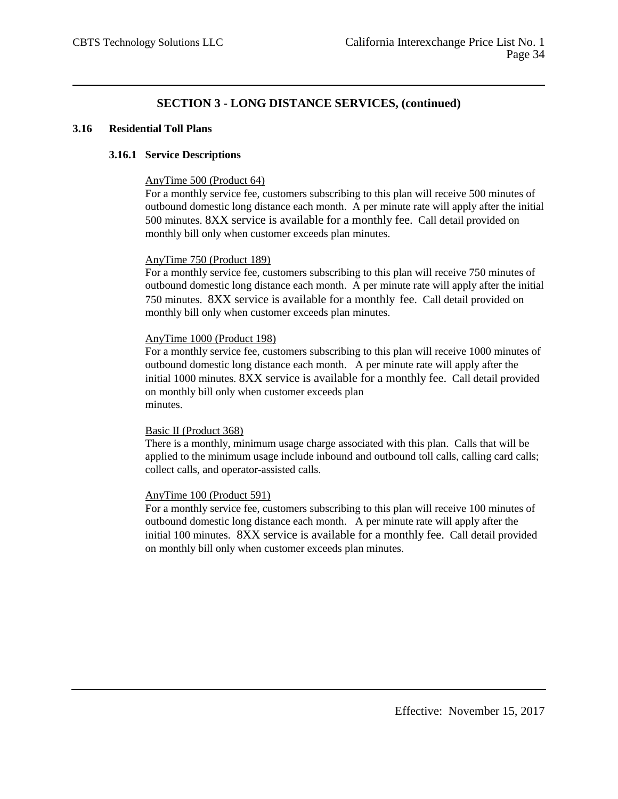## **3.16 Residential Toll Plans**

## **3.16.1 Service Descriptions**

### AnyTime 500 (Product 64)

For a monthly service fee, customers subscribing to this plan will receive 500 minutes of outbound domestic long distance each month. A per minute rate will apply after the initial 500 minutes. 8XX service is available for a monthly fee. Call detail provided on monthly bill only when customer exceeds plan minutes.

### AnyTime 750 (Product 189)

For a monthly service fee, customers subscribing to this plan will receive 750 minutes of outbound domestic long distance each month. A per minute rate will apply after the initial 750 minutes. 8XX service is available for a monthly fee. Call detail provided on monthly bill only when customer exceeds plan minutes.

### AnyTime 1000 (Product 198)

For a monthly service fee, customers subscribing to this plan will receive 1000 minutes of outbound domestic long distance each month. A per minute rate will apply after the initial 1000 minutes. 8XX service is available for a monthly fee. Call detail provided on monthly bill only when customer exceeds plan minutes.

#### Basic II (Product 368)

There is a monthly, minimum usage charge associated with this plan. Calls that will be applied to the minimum usage include inbound and outbound toll calls, calling card calls; collect calls, and operator-assisted calls.

#### AnyTime 100 (Product 591)

For a monthly service fee, customers subscribing to this plan will receive 100 minutes of outbound domestic long distance each month. A per minute rate will apply after the initial 100 minutes. 8XX service is available for a monthly fee. Call detail provided on monthly bill only when customer exceeds plan minutes.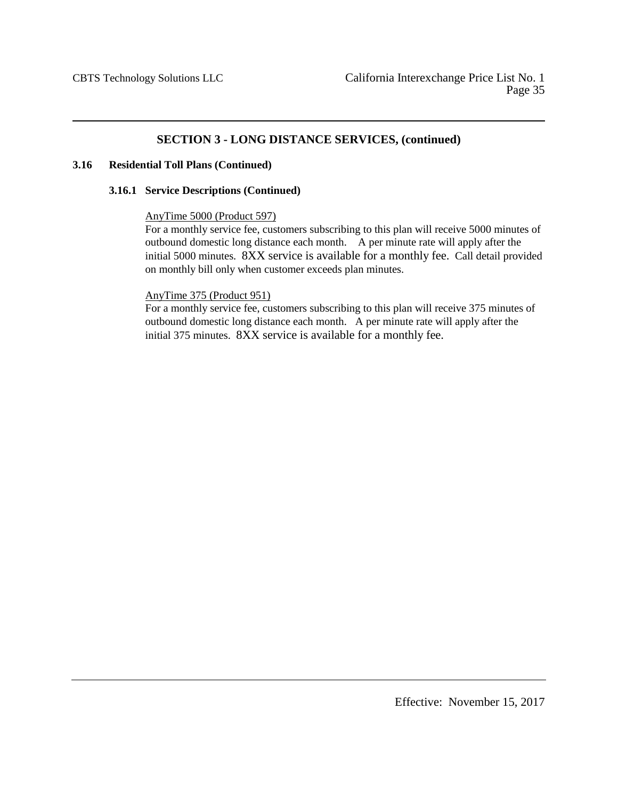### **3.16 Residential Toll Plans (Continued)**

### **3.16.1 Service Descriptions (Continued)**

### AnyTime 5000 (Product 597)

For a monthly service fee, customers subscribing to this plan will receive 5000 minutes of outbound domestic long distance each month. A per minute rate will apply after the initial 5000 minutes. 8XX service is available for a monthly fee. Call detail provided on monthly bill only when customer exceeds plan minutes.

## AnyTime 375 (Product 951)

For a monthly service fee, customers subscribing to this plan will receive 375 minutes of outbound domestic long distance each month. A per minute rate will apply after the initial 375 minutes. 8XX service is available for a monthly fee.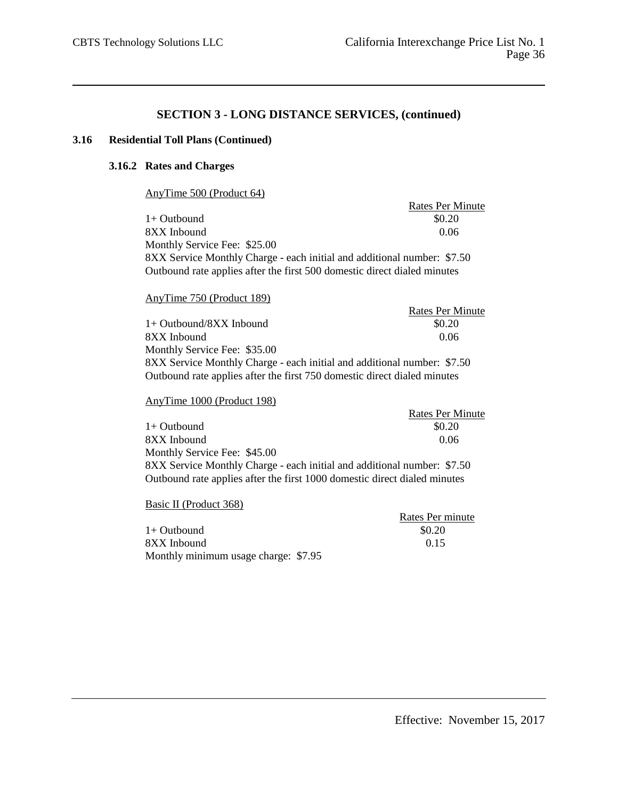#### **3.16 Residential Toll Plans (Continued)**

## **3.16.2 Rates and Charges**

AnyTime 500 (Product 64)

Rates Per Minute  $1+$  Outbound  $$0.20$ 8XX Inbound 0.06 Monthly Service Fee: \$25.00 8XX Service Monthly Charge - each initial and additional number: \$7.50 Outbound rate applies after the first 500 domestic direct dialed minutes

#### AnyTime 750 (Product 189)

Rates Per Minute  $1+$  Outbound/8XX Inbound  $$0.20$ 8XX Inbound 0.06 Monthly Service Fee: \$35.00 8XX Service Monthly Charge - each initial and additional number: \$7.50 Outbound rate applies after the first 750 domestic direct dialed minutes

### AnyTime 1000 (Product 198)

Rates Per Minute  $1+$  Outbound  $$0.20$ 8XX Inbound 0.06 Monthly Service Fee: \$45.00 8XX Service Monthly Charge - each initial and additional number: \$7.50 Outbound rate applies after the first 1000 domestic direct dialed minutes

Basic II (Product 368)

|                                      | Rates Per minute |
|--------------------------------------|------------------|
| $1+$ Outbound                        | \$0.20           |
| 8XX Inbound                          | 0.15             |
| Monthly minimum usage charge: \$7.95 |                  |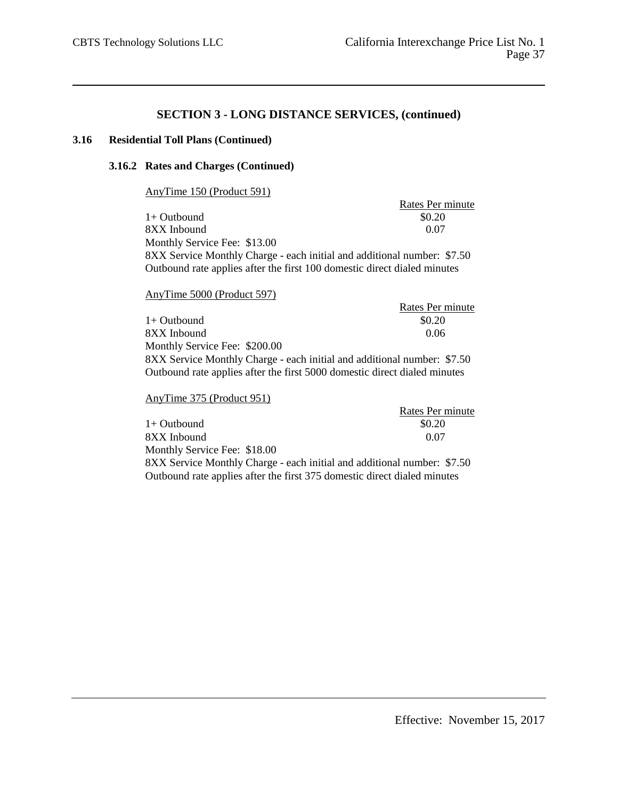## **3.16 Residential Toll Plans (Continued)**

### **3.16.2 Rates and Charges (Continued)**

AnyTime 150 (Product 591)

Rates Per minute<br>\$0.20  $1+$  Outbound  $8XX$  Inbound  $0.07$ Monthly Service Fee: \$13.00 8XX Service Monthly Charge - each initial and additional number: \$7.50 Outbound rate applies after the first 100 domestic direct dialed minutes

## AnyTime 5000 (Product 597)

|                                                                           | Rates Per minute |
|---------------------------------------------------------------------------|------------------|
| $1+$ Outbound                                                             | \$0.20           |
| 8XX Inbound                                                               | 0.06             |
| Monthly Service Fee: \$200.00                                             |                  |
| 8XX Service Monthly Charge - each initial and additional number: \$7.50   |                  |
| Outbound rate applies after the first 5000 domestic direct dialed minutes |                  |

### AnyTime 375 (Product 951)

|                                                                          | Rates Per minute |
|--------------------------------------------------------------------------|------------------|
| $1+$ Outbound                                                            | \$0.20           |
| 8XX Inbound                                                              | 0.07             |
| Monthly Service Fee: \$18.00                                             |                  |
| 8XX Service Monthly Charge - each initial and additional number: \$7.50  |                  |
| Outbound rate applies after the first 375 domestic direct dialed minutes |                  |
|                                                                          |                  |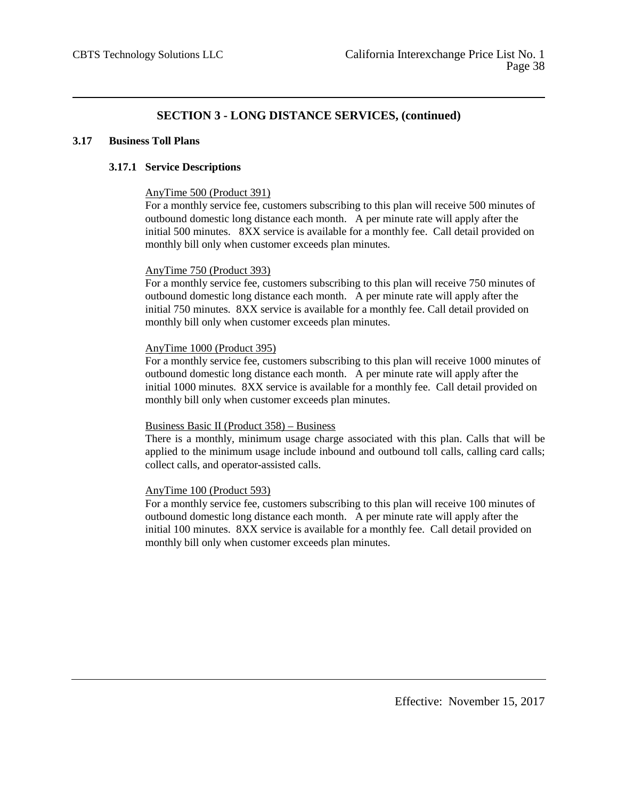#### **3.17 Business Toll Plans**

### **3.17.1 Service Descriptions**

#### AnyTime 500 (Product 391)

For a monthly service fee, customers subscribing to this plan will receive 500 minutes of outbound domestic long distance each month. A per minute rate will apply after the initial 500 minutes. 8XX service is available for a monthly fee. Call detail provided on monthly bill only when customer exceeds plan minutes.

### AnyTime 750 (Product 393)

For a monthly service fee, customers subscribing to this plan will receive 750 minutes of outbound domestic long distance each month. A per minute rate will apply after the initial 750 minutes. 8XX service is available for a monthly fee. Call detail provided on monthly bill only when customer exceeds plan minutes.

### AnyTime 1000 (Product 395)

For a monthly service fee, customers subscribing to this plan will receive 1000 minutes of outbound domestic long distance each month. A per minute rate will apply after the initial 1000 minutes. 8XX service is available for a monthly fee. Call detail provided on monthly bill only when customer exceeds plan minutes.

#### Business Basic II (Product 358) – Business

There is a monthly, minimum usage charge associated with this plan. Calls that will be applied to the minimum usage include inbound and outbound toll calls, calling card calls; collect calls, and operator-assisted calls.

## AnyTime 100 (Product 593)

For a monthly service fee, customers subscribing to this plan will receive 100 minutes of outbound domestic long distance each month. A per minute rate will apply after the initial 100 minutes. 8XX service is available for a monthly fee. Call detail provided on monthly bill only when customer exceeds plan minutes.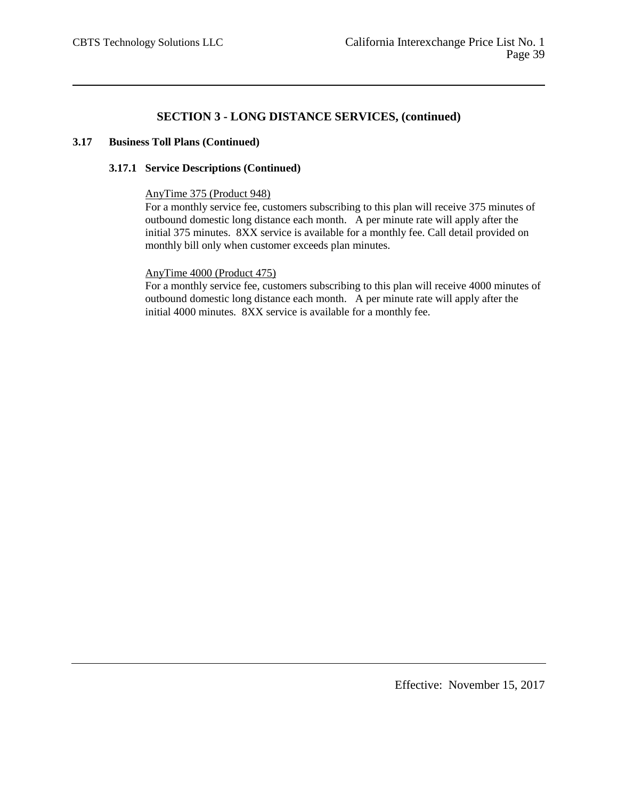### **3.17 Business Toll Plans (Continued)**

#### **3.17.1 Service Descriptions (Continued)**

### AnyTime 375 (Product 948)

For a monthly service fee, customers subscribing to this plan will receive 375 minutes of outbound domestic long distance each month. A per minute rate will apply after the initial 375 minutes. 8XX service is available for a monthly fee. Call detail provided on monthly bill only when customer exceeds plan minutes.

### AnyTime 4000 (Product 475)

For a monthly service fee, customers subscribing to this plan will receive 4000 minutes of outbound domestic long distance each month. A per minute rate will apply after the initial 4000 minutes. 8XX service is available for a monthly fee.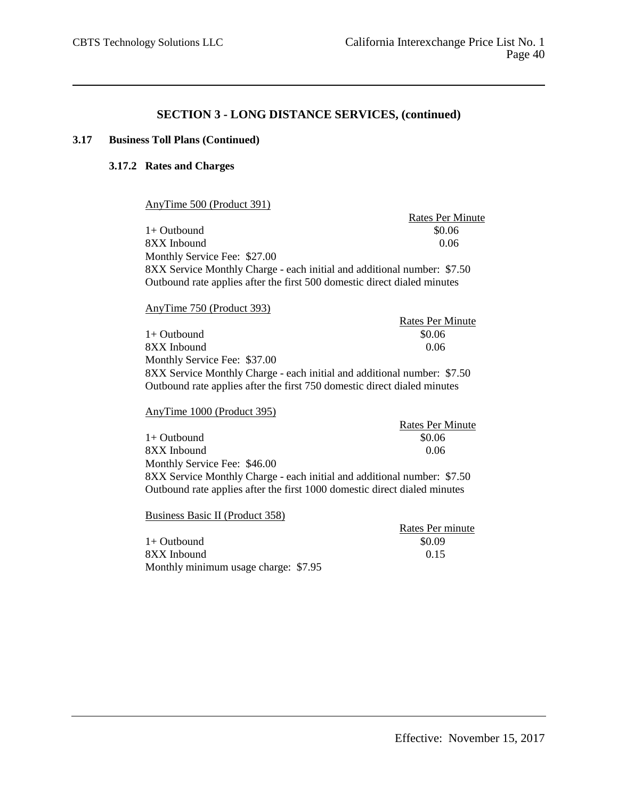### **3.17 Business Toll Plans (Continued)**

## **3.17.2 Rates and Charges**

AnyTime 500 (Product 391)

Rates Per Minute  $1+$  Outbound  $$0.06$ 8XX Inbound 0.06 Monthly Service Fee: \$27.00 8XX Service Monthly Charge - each initial and additional number: \$7.50 Outbound rate applies after the first 500 domestic direct dialed minutes

AnyTime 750 (Product 393)

Rates Per Minute  $1+$  Outbound  $$0.06$ 8XX Inbound 0.06 Monthly Service Fee: \$37.00 8XX Service Monthly Charge - each initial and additional number: \$7.50 Outbound rate applies after the first 750 domestic direct dialed minutes

AnyTime 1000 (Product 395)

Rates Per Minute  $1+$  Outbound  $$0.06$  $8XX$  Inbound  $0.06$ Monthly Service Fee: \$46.00 8XX Service Monthly Charge - each initial and additional number: \$7.50 Outbound rate applies after the first 1000 domestic direct dialed minutes

Business Basic II (Product 358)

|                                      | Rates Per minute |
|--------------------------------------|------------------|
| 1+ Outbound                          | \$0.09           |
| 8XX Inbound                          | 0.15             |
| Monthly minimum usage charge: \$7.95 |                  |